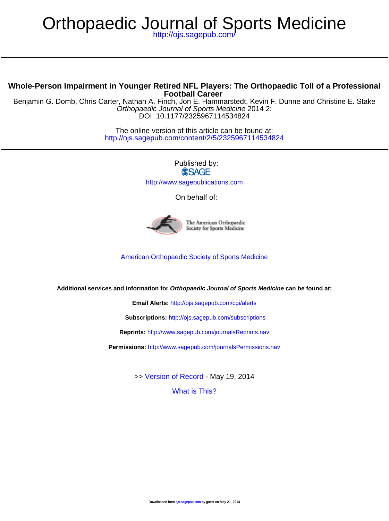# Orthopaedic Journal of Sports Medicine

<http://ojs.sagepub.com/>

#### **Football Career Whole-Person Impairment in Younger Retired NFL Players: The Orthopaedic Toll of a Professional**

DOI: 10.1177/2325967114534824 Orthopaedic Journal of Sports Medicine 2014 2: Benjamin G. Domb, Chris Carter, Nathan A. Finch, Jon E. Hammarstedt, Kevin F. Dunne and Christine E. Stake

> <http://ojs.sagepub.com/content/2/5/2325967114534824> The online version of this article can be found at:

> > Published by: **SSAGE** <http://www.sagepublications.com>

> > > On behalf of:



The American Orthopaedic Society for Sports Medicine

[American Orthopaedic Society of Sports Medicine](http://www.sportsmed.org/)

**Additional services and information for Orthopaedic Journal of Sports Medicine can be found at:**

**Email Alerts:** <http://ojs.sagepub.com/cgi/alerts>

**Subscriptions:** <http://ojs.sagepub.com/subscriptions>

**Reprints:** <http://www.sagepub.com/journalsReprints.nav>

**Permissions:** <http://www.sagepub.com/journalsPermissions.nav>

>> [Version of Record -](http://ojs.sagepub.com/content/2/5/2325967114534824.full.pdf) May 19, 2014

[What is This?](http://online.sagepub.com/site/sphelp/vorhelp.xhtml)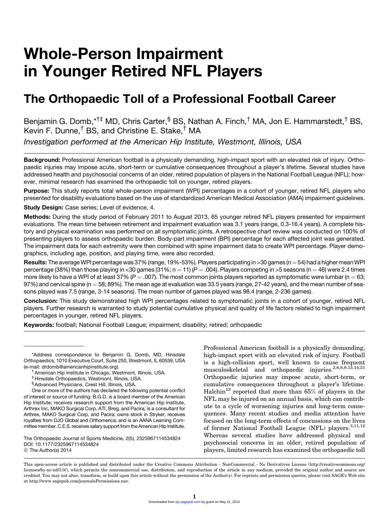## Whole-Person Impairment in Younger Retired NFL Players

### The Orthopaedic Toll of a Professional Football Career

Benjamin G. Domb,\*<sup>†‡</sup> MD, Chris Carter, <sup>§</sup> BS, Nathan A. Finch, <sup>†</sup> MA, Jon E. Hammarstedt, <sup>†</sup> BS, Kevin F. Dunne,† BS, and Christine E. Stake,† MA

Investigation performed at the American Hip Institute, Westmont, Illinois, USA

Background: Professional American football is a physically demanding, high-impact sport with an elevated risk of injury. Orthopaedic injuries may impose acute, short-term or cumulative consequences throughout a player's lifetime. Several studies have addressed health and psychosocial concerns of an older, retired population of players in the National Football League (NFL); however, minimal research has examined the orthopaedic toll on younger, retired players.

Purpose: This study reports total whole-person impairment (WPI) percentages in a cohort of younger, retired NFL players who presented for disability evaluations based on the use of standardized American Medical Association (AMA) impairment guidelines.

Study Design: Case series; Level of evidence, 4.

Methods: During the study period of February 2011 to August 2013, 65 younger retired NFL players presented for impairment evaluations. The mean time between retirement and impairment evaluation was 3.1 years (range, 0.3-16.4 years). A complete history and physical examination was performed on all symptomatic joints. A retrospective chart review was conducted on 100% of presenting players to assess orthopaedic burden. Body-part impairment (BPI) percentage for each affected joint was generated. The impairment data for each extremity were then combined with spine impairment data to create WPI percentage. Player demographics, including age, position, and playing time, were also recorded.

Results: The average WPI percentage was 37% (range, 19%-53%). Players participating in >30 games (n = 54) had a higher mean WPI percentage (38%) than those playing in <30 games (31%; n = 11) ( $P = .004$ ). Players competing in >5 seasons (n = 46) were 2.4 times more likely to have a WPI of at least 37% ( $P = .007$ ). The most common joints players reported as symptomatic were lumbar (n = 63;  $97\%$ ) and cervical spine (n = 58; 89%). The mean age at evaluation was 33.5 years (range, 27-42 years), and the mean number of seasons played was 7.5 (range, 3-14 seasons). The mean number of games played was 98.4 (range, 2-236 games).

Conclusion: This study demonstrated high WPI percentages related to symptomatic joints in a cohort of younger, retired NFL players. Further research is warranted to study potential cumulative physical and quality of life factors related to high impairment percentages in younger, retired NFL players.

Keywords: football; National Football League; impairment; disability; retired; orthopaedic

The Orthopaedic Journal of Sports Medicine, 2(5), 2325967114534824 DOI: 10.1177/2325967114534824 © The Author(s) 2014

Professional American football is a physically demanding, high-impact sport with an elevated risk of injury. Football is a high-collision sport, well known to cause frequent musculoskeletal and orthopaedic injuries.<sup>2,6,8,9,13</sup>,14,21 Orthopaedic injuries may impose acute, short-term, or cumulative consequences throughout a player's lifetime. Halchin<sup>12</sup> reported that more than  $65\%$  of players in the NFL may be injured on an annual basis, which can contribute to a cycle of worsening injuries and long-term consequences. Many recent studies and media attention have focused on the long-term effects of concussions on the lives of former National Football League (NFL) players.<sup>3,11,12</sup> Whereas several studies have addressed physical and psychosocial concerns in an older, retired population of players, limited research has examined the orthopaedic toll

This open-access article is published and distributed under the Creative Commons Attribution - NonCommercial - No Derivatives License (http://creativecommons.org/ licenses/by-nc-nd/3.0/), which permits the noncommercial use, distribution, and reproduction of the article in any medium, provided the original author and source are credited. You may not alter, transform, or build upon this article without the permission of the Author(s). For reprints and permission queries, please visit SAGE's Web site at http://www.sagepub.com/journalsPermissions.nav.

<sup>\*</sup>Address correspondence to Benjamin G. Domb, MD, Hinsdale Orthopaedics, 1010 Executive Court, Suite 250, Westmont, IL 60559, USA

<sup>(</sup>e-mail: [drdomb@americanhipinstitute.org\)](mailto:drdomb@americanhipinstitute.org). †American Hip Institute in Chicago, Westmont, Illinois, USA.

<sup>‡</sup> Hinsdale Orthopaedics, Westmont, Illinois, USA.

<sup>§</sup>Advanced Physicians, Crest Hill, Illinois, USA.

One or more of the authors has declared the following potential conflict of interest or source of funding: B.G.D. is a board member of the American Hip Institute; receives research support from the American Hip Institute, Arthrex Inc, MAKO Surgical Corp, ATI, Breg, and Pacira; is a consultant for Arthrex, MAKO Surgical Corp, and Pacira; owns stock in Stryker; receives royalties from DJO Global and Orthomerica; and is an AANA Learning Committee member. C.E.S. receives salary support from the American Hip Institute.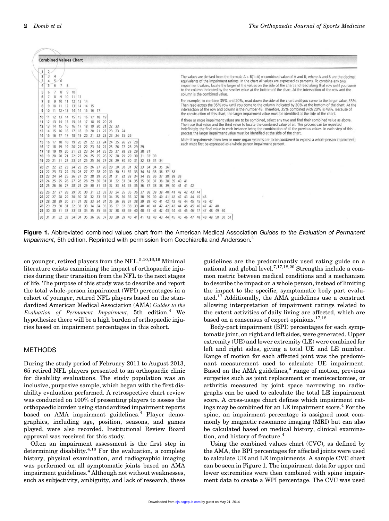

Figure 1. Abbreviated combined values chart from the American Medical Association Guides to the Evaluation of Permanent Impairment, 5th edition. Reprinted with permission from Cocchiarella and Andersson.<sup>4</sup>

on younger, retired players from the NFL.<sup>5,10,16,19</sup> Minimal literature exists examining the impact of orthopaedic injuries during their transition from the NFL to the next stages of life. The purpose of this study was to describe and report the total whole-person impairment (WPI) percentages in a cohort of younger, retired NFL players based on the standardized American Medical Association (AMA) Guides to the Evaluation of Permanent Impairment,  $5th$  edition.<sup>4</sup> We hypothesize there will be a high burden of orthopaedic injuries based on impairment percentages in this cohort.

#### METHODS

During the study period of February 2011 to August 2013, 65 retired NFL players presented to an orthopaedic clinic for disability evaluations. The study population was an inclusive, purposive sample, which began with the first disability evaluation performed. A retrospective chart review was conducted on 100% of presenting players to assess the orthopaedic burden using standardized impairment reports based on AMA impairment guidelines.<sup>4</sup> Player demographics, including age, position, seasons, and games played, were also recorded. Institutional Review Board approval was received for this study.

Often an impairment assessment is the first step in determining disability.4,18 For the evaluation, a complete history, physical examination, and radiographic imaging was performed on all symptomatic joints based on AMA impairment guidelines.<sup>4</sup> Although not without weaknesses, such as subjectivity, ambiguity, and lack of research, these guidelines are the predominantly used rating guide on a national and global level.<sup>7,17,18,20</sup> Strengths include a common metric between medical conditions and a mechanism to describe the impact on a whole person, instead of limiting the impact to the specific, symptomatic body part evaluated.<sup>17</sup> Additionally, the AMA guidelines use a construct allowing interpretation of impairment ratings related to the extent activities of daily living are affected, which are based on a consensus of expert opinions. $17,18$ 

Body-part impairment (BPI) percentages for each symptomatic joint, on right and left sides, were generated. Upper extremity (UE) and lower extremity (LE) were combined for left and right sides, giving a total UE and LE number. Range of motion for each affected joint was the predominant measurement used to calculate UE impairment. Based on the AMA guidelines, $<sup>4</sup>$  range of motion, previous</sup> surgeries such as joint replacement or meniscectomies, or arthritis measured by joint space narrowing on radiographs can be used to calculate the total LE impairment score. A cross-usage chart defines which impairment ratings may be combined for an LE impairment score.<sup>4</sup> For the spine, an impairment percentage is assigned most commonly by magnetic resonance imaging (MRI) but can also be calculated based on medical history, clinical examination, and history of fracture.<sup>4</sup>

Using the combined values chart (CVC), as defined by the AMA, the BPI percentages for affected joints were used to calculate UE and LE impairments. A sample CVC chart can be seen in Figure 1. The impairment data for upper and lower extremities were then combined with spine impairment data to create a WPI percentage. The CVC was used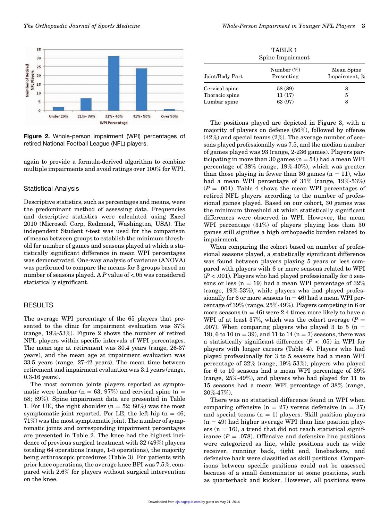

Figure 2. Whole-person impairment (WPI) percentages of retired National Football League (NFL) players.

again to provide a formula-derived algorithm to combine multiple impairments and avoid ratings over 100% for WPI.

#### Statistical Analysis

Descriptive statistics, such as percentages and means, were the predominant method of assessing data. Frequencies and descriptive statistics were calculated using Excel 2010 (Microsoft Corp, Redmond, Washington, USA). The independent Student t-test was used for the comparison of means between groups to establish the minimum threshold for number of games and seasons played at which a statistically significant difference in mean WPI percentages was demonstrated. One-way analysis of variance (ANOVA) was performed to compare the means for 3 groups based on number of seasons played. A P value of <.05 was considered statistically significant.

#### RESULTS

The average WPI percentage of the 65 players that presented to the clinic for impairment evaluation was 37% (range, 19%-53%). Figure 2 shows the number of retired NFL players within specific intervals of WPI percentages. The mean age at retirement was 30.4 years (range, 26-37 years), and the mean age at impairment evaluation was 33.5 years (range, 27-42 years). The mean time between retirement and impairment evaluation was 3.1 years (range, 0.3-16 years).

The most common joints players reported as symptomatic were lumbar (n = 63; 97%) and cervical spine (n = 58; 89%). Spine impairment data are presented in Table 1. For UE, the right shoulder ( $n = 52$ ; 80%) was the most symptomatic joint reported. For LE, the left hip ( $n = 46$ ; 71%) was the most symptomatic joint. The number of symptomatic joints and corresponding impairment percentages are presented in Table 2. The knee had the highest incidence of previous surgical treatment with 32 (49%) players totaling 64 operations (range, 1-5 operations), the majority being arthroscopic procedures (Table 3). For patients with prior knee operations, the average knee BPI was 7.5%, compared with 2.6% for players without surgical intervention on the knee.

|                                                  | TABLE 1<br>Spine Impairment  |                             |
|--------------------------------------------------|------------------------------|-----------------------------|
| Joint/Body Part                                  | Number $(\%)$<br>Presenting  | Mean Spine<br>Impairment, % |
| Cervical spine<br>Thoracic spine<br>Lumbar spine | 58 (89)<br>11(17)<br>63 (97) | 8<br>5<br>8                 |

The positions played are depicted in Figure 3, with a majority of players on defense (56%), followed by offense  $(42\%)$  and special teams  $(2\%)$ . The average number of seasons played professionally was 7.5, and the median number of games played was 93 (range, 2-236 games). Players participating in more than 30 games  $(n = 54)$  had a mean WPI percentage of 38% (range, 19%-40%), which was greater than those playing in fewer than 30 games  $(n = 11)$ , who had a mean WPI percentage of 31% (range, 19%-53%)  $(P = .004)$ . Table 4 shows the mean WPI percentages of retired NFL players according to the number of professional games played. Based on our cohort, 30 games was the minimum threshold at which statistically significant differences were observed in WPI. However, the mean WPI percentage (31%) of players playing less than 30 games still signifies a high orthopaedic burden related to impairment.

When comparing the cohort based on number of professional seasons played, a statistically significant difference was found between players playing 5 years or less compared with players with 6 or more seasons related to WPI  $(P < .001)$ . Players who had played professionally for 5 seasons or less ( $n = 19$ ) had a mean WPI percentage of  $32\%$ (range, 19%-53%), while players who had played professionally for 6 or more seasons  $(n = 46)$  had a mean WPI percentage of 39% (range, 25%-49%). Players competing in 6 or more seasons  $(n = 46)$  were 2.4 times more likely to have a WPI of at least 37%, which was the cohort average  $(P =$ .007). When comparing players who played 3 to 5 ( $n =$ 19), 6 to 10 ( $n = 39$ ), and 11 to 14 ( $n = 7$ ) seasons, there was a statistically significant difference  $(P < .05)$  in WPI for players with longer careers (Table 4). Players who had played professionally for 3 to 5 seasons had a mean WPI percentage of 32% (range, 19%-53%), players who played for 6 to 10 seasons had a mean WPI percentage of 39% (range, 25%-49%), and players who had played for 11 to 15 seasons had a mean WPI percentage of 38% (range, 30%-47%).

There was no statistical difference found in WPI when comparing offensive  $(n = 27)$  versus defensive  $(n = 37)$ and special teams  $(n = 1)$  players. Skill position players  $(n = 49)$  had higher average WPI than line position players ( $n = 16$ ), a trend that did not reach statistical significance ( $P = .078$ ). Offensive and defensive line positions were categorized as line, while positions such as wide receiver, running back, tight end, linebackers, and defensive back were classified as skill positions. Comparisons between specific positions could not be assessed because of a small denominator at some positions, such as quarterback and kicker. However, all positions were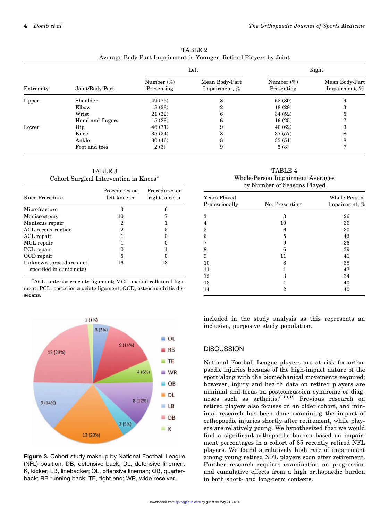| TABLE 2                                                           |
|-------------------------------------------------------------------|
| Average Body-Part Impairment in Younger, Retired Players by Joint |

| Extremity | Joint/Body Part  | Left                        |                                 | Right                       |                                 |
|-----------|------------------|-----------------------------|---------------------------------|-----------------------------|---------------------------------|
|           |                  | Number $(\%)$<br>Presenting | Mean Body-Part<br>Impairment, % | Number $(\%)$<br>Presenting | Mean Body-Part<br>Impairment, % |
| Upper     | Shoulder         | 49 (75)                     | 8                               | 52(80)                      | 9                               |
|           | Elbow            | 18(28)                      |                                 | 18(28)                      | 3                               |
|           | Wrist            | 21(32)                      | h                               | 34(52)                      | 5                               |
|           | Hand and fingers | 15(23)                      |                                 | 16(25)                      |                                 |
| Lower     | Hip              | 46 (71)                     |                                 | 40(62)                      | 9                               |
|           | Knee             | 35(54)                      |                                 | 37(57)                      | 8                               |
|           | Ankle            | 30(46)                      | o                               | 33(51)                      | 8                               |
|           | Foot and toes    | 2(3)                        | 9                               | 5(8)                        |                                 |

TABLE 3 Cohort Surgical Intervention in Knees<sup> $a$ </sup>

| Knee Procedure                                       | Procedures on<br>left knee, n | Procedures on<br>right knee, n |
|------------------------------------------------------|-------------------------------|--------------------------------|
| Microfracture                                        | 3                             | 6                              |
| Meniscectomy                                         | 10                            |                                |
| Meniscus repair                                      | 2                             |                                |
| ACL reconstruction                                   | 2                             | 5                              |
| ACL repair                                           |                               |                                |
| MCL repair                                           |                               |                                |
| PCL repair                                           |                               |                                |
| OCD repair                                           | 5                             |                                |
| Unknown (procedures not<br>specified in clinic note) | 16                            | 13                             |

<sup>a</sup>ACL, anterior cruciate ligament; MCL, medial collateral ligament; PCL, posterior cruciate ligament; OCD, osteochondritis dissecans.



Figure 3. Cohort study makeup by National Football League (NFL) position. DB, defensive back; DL, defensive linemen; K, kicker; LB, linebacker; OL, offensive lineman; QB, quarterback; RB running back; TE, tight end; WR, wide receiver.

TABLE 4 Whole-Person Impairment Averages by Number of Seasons Played

| Years Played<br>Professionally | No. Presenting | Whole-Person<br>Impairment, % |
|--------------------------------|----------------|-------------------------------|
| 3                              | 3              | 26                            |
| 4                              | 10             | 36                            |
| 5                              | 6              | 30                            |
| 6                              | 5              | 42                            |
| 7                              | 9              | 36                            |
| 8                              | 6              | 39                            |
| 9                              | 11             | 41                            |
| 10                             | 8              | 38                            |
| 11                             |                | 47                            |
| 12                             | 3              | 34                            |
| 13                             | 1              | 40                            |
| 14                             | 2              | 40                            |

included in the study analysis as this represents an inclusive, purposive study population.

#### **DISCUSSION**

National Football League players are at risk for orthopaedic injuries because of the high-impact nature of the sport along with the biomechanical movements required; however, injury and health data on retired players are minimal and focus on postconcussion syndrome or diagnoses such as arthritis.<sup>3,10,12</sup> Previous research on retired players also focuses on an older cohort, and minimal research has been done examining the impact of orthopaedic injuries shortly after retirement, while players are relatively young. We hypothesized that we would find a significant orthopaedic burden based on impairment percentages in a cohort of 65 recently retired NFL players. We found a relatively high rate of impairment among young retired NFL players soon after retirement. Further research requires examination on progression and cumulative effects from a high orthopaedic burden in both short- and long-term contexts.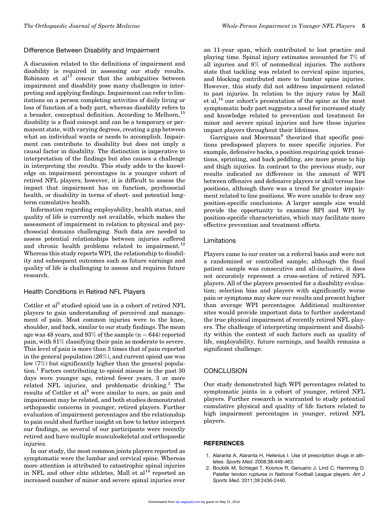#### Difference Between Disability and Impairment

A discussion related to the definitions of impairment and disability is required in assessing our study results. Robinson et  $al^{17}$  concur that the ambiguities between impairment and disability pose many challenges in interpreting and applying findings. Impairment can refer to limitations on a person completing activities of daily living or loss of function of a body part, whereas disability refers to a broader, conceptual definition. According to Melhorn, <sup>15</sup> disability is a fluid concept and can be a temporary or permanent state, with varying degrees, creating a gap between what an individual wants or needs to accomplish. Impairment can contribute to disability but does not imply a causal factor in disability. The distinction is imperative to interpretation of the findings but also causes a challenge in interpreting the results. This study adds to the knowledge on impairment percentages in a younger cohort of retired NFL players; however, it is difficult to assess the impact that impairment has on function, psychosocial health, or disability in terms of short- and potential longterm cumulative health.

Information regarding employability, health status, and quality of life is currently not available, which makes the assessment of impairment in relation to physical and psychosocial domains challenging. Such data are needed to assess potential relationships between injuries suffered and chronic health problems related to impairment.<sup>12</sup> Whereas this study reports WPI, the relationship to disability and subsequent outcomes such as future earnings and quality of life is challenging to assess and requires future research.

#### Health Conditions in Retired NFL Players

Cottler et al<sup>5</sup> studied opioid use in a cohort of retired NFL players to gain understanding of perceived and management of pain. Most common injuries were to the knee, shoulder, and back, similar to our study findings. The mean age was 48 years, and  $93\%$  of the sample (n = 644) reported pain, with 81% classifying their pain as moderate to severe. This level of pain is more than 3 times that of pain reported in the general population (26%), and current opioid use was low (7%) but significantly higher than the general population.<sup>1</sup> Factors contributing to opioid misuse in the past 30 days were younger age, retired fewer years, 3 or more related NFL injuries, and problematic drinking.<sup>1</sup> The results of Cottler et al<sup>5</sup> were similar to ours, as pain and impairment may be related, and both studies demonstrated orthopaedic concerns in younger, retired players. Further evaluation of impairment percentages and the relationship to pain could shed further insight on how to better interpret our findings, as several of our participants were recently retired and have multiple musculoskeletal and orthopaedic injuries.

In our study, the most common joints players reported as symptomatic were the lumbar and cervical spine. Whereas more attention is attributed to catastrophic spinal injuries in NFL and other elite athletes, Mall et  $al^{14}$  reported an increased number of minor and severe spinal injuries over an 11-year span, which contributed to lost practice and playing time. Spinal injury estimates accounted for 7% of all injuries and 8% of nonmedical injuries. The authors state that tackling was related to cervical spine injuries, and blocking contributed more to lumbar spine injuries. However, this study did not address impairment related to past injuries. In relation to the injury rates by Mall et al,14 our cohort's presentation of the spine as the most symptomatic body part suggests a need for increased study and knowledge related to prevention and treatment for minor and severe spinal injuries and how these injuries impact players throughout their lifetimes.

Garrigues and Moorman<sup>9</sup> theorized that specific positions predisposed players to more specific injuries. For example, defensive backs, a position requiring quick transitions, sprinting, and back peddling, are more prone to hip and thigh injuries. In contrast to the previous study, our results indicated no difference in the amount of WPI between offensive and defensive players or skill versus line positions, although there was a trend for greater impairment related to line positions. We were unable to draw any position-specific conclusions. A larger sample size would provide the opportunity to examine BPI and WPI by position-specific characteristics, which may facilitate more effective prevention and treatment efforts.

#### Limitations

Players came to our center on a referral basis and were not a randomized or controlled sample; although the final patient sample was consecutive and all-inclusive, it does not accurately represent a cross-section of retired NFL players. All of the players presented for a disability evaluation; selection bias and players with significantly worse pain or symptoms may skew our results and present higher than average WPI percentages. Additional multicenter sites would provide important data to further understand the true physical impairment of recently retired NFL players. The challenge of interpreting impairment and disability within the context of such factors such as quality of life, employability, future earnings, and health remains a significant challenge.

#### **CONCLUSION**

Our study demonstrated high WPI percentages related to symptomatic joints in a cohort of younger, retired NFL players. Further research is warranted to study potential cumulative physical and quality of life factors related to high impairment percentages in younger, retired NFL players.

#### **REFERENCES**

- 1. Alaranta A, Alaranta H, Helenius I. Use of prescription drugs in athletes. Sports Med. 2008;38:449-463.
- 2. Boublik M, Schlegel T, Koonce R, Genuario J, Lind C, Hamming D. Patellar tendon ruptures in National Football League players. Am J Sports Med. 2011;39:2436-2440.